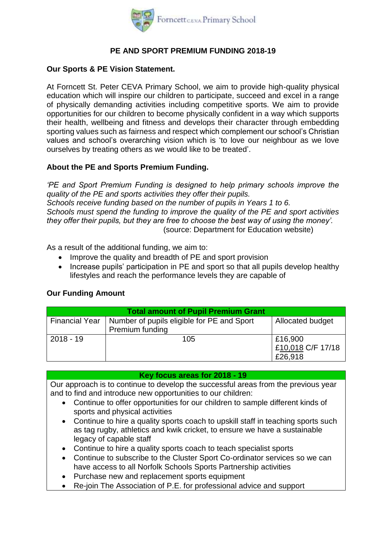

## **PE AND SPORT PREMIUM FUNDING 2018-19**

### **Our Sports & PE Vision Statement.**

At Forncett St. Peter CEVA Primary School, we aim to provide high-quality physical education which will inspire our children to participate, succeed and excel in a range of physically demanding activities including competitive sports. We aim to provide opportunities for our children to become physically confident in a way which supports their health, wellbeing and fitness and develops their character through embedding sporting values such as fairness and respect which complement our school's Christian values and school's overarching vision which is 'to love our neighbour as we love ourselves by treating others as we would like to be treated'.

## **About the PE and Sports Premium Funding.**

*'PE and Sport Premium Funding is designed to help primary schools improve the quality of the PE and sports activities they offer their pupils. Schools receive funding based on the number of pupils in Years 1 to 6. Schools must spend the funding to improve the quality of the PE and sport activities they offer their pupils, but they are free to choose the best way of using the money'.*  (source: Department for Education website)

As a result of the additional funding, we aim to:

- Improve the quality and breadth of PE and sport provision
- Increase pupils' participation in PE and sport so that all pupils develop healthy lifestyles and reach the performance levels they are capable of

#### **Our Funding Amount**

| <b>Total amount of Pupil Premium Grant</b> |                                                             |                         |  |  |  |
|--------------------------------------------|-------------------------------------------------------------|-------------------------|--|--|--|
|                                            | Financial Year   Number of pupils eligible for PE and Sport | <b>Allocated budget</b> |  |  |  |
|                                            | Premium funding                                             |                         |  |  |  |
| $2018 - 19$                                | 105                                                         | £16,900                 |  |  |  |
|                                            |                                                             | £10,018 C/F 17/18       |  |  |  |
|                                            |                                                             | £26,918                 |  |  |  |

**Key focus areas for 2018 - 19**

Our approach is to continue to develop the successful areas from the previous year and to find and introduce new opportunities to our children:

- Continue to offer opportunities for our children to sample different kinds of sports and physical activities
- Continue to hire a quality sports coach to upskill staff in teaching sports such as tag rugby, athletics and kwik cricket, to ensure we have a sustainable legacy of capable staff
- Continue to hire a quality sports coach to teach specialist sports
- Continue to subscribe to the Cluster Sport Co-ordinator services so we can have access to all Norfolk Schools Sports Partnership activities
- Purchase new and replacement sports equipment
- Re-join The Association of P.E. for professional advice and support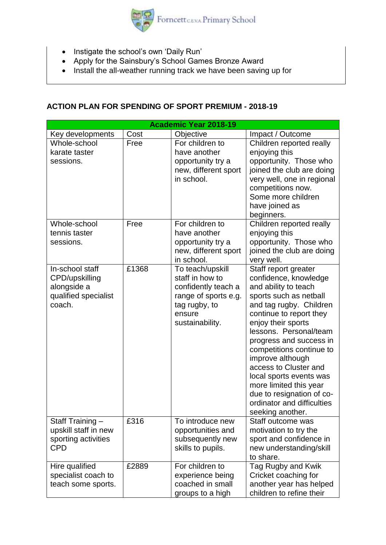

- Instigate the school's own 'Daily Run'
- Apply for the Sainsbury's School Games Bronze Award
- Install the all-weather running track we have been saving up for

# **ACTION PLAN FOR SPENDING OF SPORT PREMIUM - 2018-19**

| <b>Academic Year 2018-19</b>                                                       |       |                                                                                                                                  |                                                                                                                                                                                                                                                                                                                                                                                                                                               |  |  |
|------------------------------------------------------------------------------------|-------|----------------------------------------------------------------------------------------------------------------------------------|-----------------------------------------------------------------------------------------------------------------------------------------------------------------------------------------------------------------------------------------------------------------------------------------------------------------------------------------------------------------------------------------------------------------------------------------------|--|--|
| Key developments                                                                   | Cost  | Objective                                                                                                                        | Impact / Outcome                                                                                                                                                                                                                                                                                                                                                                                                                              |  |  |
| Whole-school<br>karate taster<br>sessions.                                         | Free  | For children to<br>have another<br>opportunity try a<br>new, different sport<br>in school.                                       | Children reported really<br>enjoying this<br>opportunity. Those who<br>joined the club are doing<br>very well, one in regional<br>competitions now.<br>Some more children<br>have joined as<br>beginners.                                                                                                                                                                                                                                     |  |  |
| Whole-school<br>tennis taster<br>sessions.                                         | Free  | For children to<br>have another<br>opportunity try a<br>new, different sport<br>in school.                                       | Children reported really<br>enjoying this<br>opportunity. Those who<br>joined the club are doing<br>very well.                                                                                                                                                                                                                                                                                                                                |  |  |
| In-school staff<br>CPD/upskilling<br>alongside a<br>qualified specialist<br>coach. | £1368 | To teach/upskill<br>staff in how to<br>confidently teach a<br>range of sports e.g.<br>tag rugby, to<br>ensure<br>sustainability. | Staff report greater<br>confidence, knowledge<br>and ability to teach<br>sports such as netball<br>and tag rugby. Children<br>continue to report they<br>enjoy their sports<br>lessons. Personal/team<br>progress and success in<br>competitions continue to<br>improve although<br>access to Cluster and<br>local sports events was<br>more limited this year<br>due to resignation of co-<br>ordinator and difficulties<br>seeking another. |  |  |
| Staff Training -<br>upskill staff in new<br>sporting activities<br><b>CPD</b>      | £316  | To introduce new<br>opportunities and<br>subsequently new<br>skills to pupils.                                                   | Staff outcome was<br>motivation to try the<br>sport and confidence in<br>new understanding/skill<br>to share.                                                                                                                                                                                                                                                                                                                                 |  |  |
| Hire qualified<br>specialist coach to<br>teach some sports.                        | £2889 | For children to<br>experience being<br>coached in small<br>groups to a high                                                      | Tag Rugby and Kwik<br>Cricket coaching for<br>another year has helped<br>children to refine their                                                                                                                                                                                                                                                                                                                                             |  |  |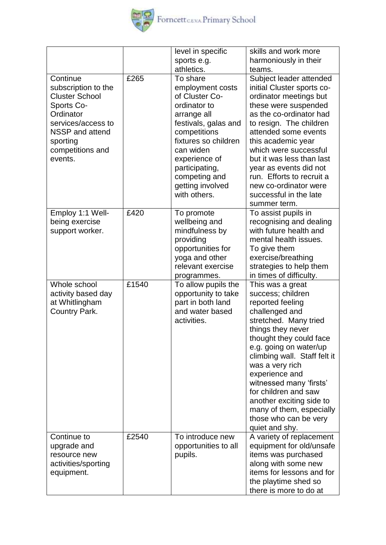

|                                                                                                                                                                         |       | level in specific                                                                                                                                                                                                                                  | skills and work more                                                                                                                                                                                                                                                                                                                                                                                      |
|-------------------------------------------------------------------------------------------------------------------------------------------------------------------------|-------|----------------------------------------------------------------------------------------------------------------------------------------------------------------------------------------------------------------------------------------------------|-----------------------------------------------------------------------------------------------------------------------------------------------------------------------------------------------------------------------------------------------------------------------------------------------------------------------------------------------------------------------------------------------------------|
|                                                                                                                                                                         |       | sports e.g.                                                                                                                                                                                                                                        | harmoniously in their                                                                                                                                                                                                                                                                                                                                                                                     |
|                                                                                                                                                                         |       | athletics.                                                                                                                                                                                                                                         | teams.                                                                                                                                                                                                                                                                                                                                                                                                    |
| Continue<br>subscription to the<br><b>Cluster School</b><br>Sports Co-<br>Ordinator<br>services/access to<br>NSSP and attend<br>sporting<br>competitions and<br>events. | £265  | To share<br>employment costs<br>of Cluster Co-<br>ordinator to<br>arrange all<br>festivals, galas and<br>competitions<br>fixtures so children<br>can widen<br>experience of<br>participating,<br>competing and<br>getting involved<br>with others. | Subject leader attended<br>initial Cluster sports co-<br>ordinator meetings but<br>these were suspended<br>as the co-ordinator had<br>to resign. The children<br>attended some events<br>this academic year<br>which were successful<br>but it was less than last<br>year as events did not<br>run. Efforts to recruit a<br>new co-ordinator were<br>successful in the late<br>summer term.               |
| Employ 1:1 Well-<br>being exercise<br>support worker.                                                                                                                   | £420  | To promote<br>wellbeing and<br>mindfulness by<br>providing<br>opportunities for<br>yoga and other<br>relevant exercise<br>programmes.                                                                                                              | To assist pupils in<br>recognising and dealing<br>with future health and<br>mental health issues.<br>To give them<br>exercise/breathing<br>strategies to help them<br>in times of difficulty.                                                                                                                                                                                                             |
| Whole school<br>activity based day<br>at Whitlingham<br>Country Park.                                                                                                   | £1540 | To allow pupils the<br>opportunity to take<br>part in both land<br>and water based<br>activities.                                                                                                                                                  | This was a great<br>success; children<br>reported feeling<br>challenged and<br>stretched. Many tried<br>things they never<br>thought they could face<br>e.g. going on water/up<br>climbing wall. Staff felt it<br>was a very rich<br>experience and<br>witnessed many 'firsts'<br>for children and saw<br>another exciting side to<br>many of them, especially<br>those who can be very<br>quiet and shy. |
| Continue to<br>upgrade and<br>resource new<br>activities/sporting<br>equipment.                                                                                         | £2540 | To introduce new<br>opportunities to all<br>pupils.                                                                                                                                                                                                | A variety of replacement<br>equipment for old/unsafe<br>items was purchased<br>along with some new<br>items for lessons and for<br>the playtime shed so<br>there is more to do at                                                                                                                                                                                                                         |